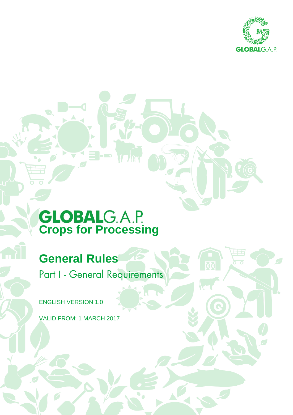

# **Crops for Processing**

 $-100$ 

# **General Rules**

Part I - General Requirements

ENGLISH VERSION 1.0

VALID FROM: 1 MARCH 2017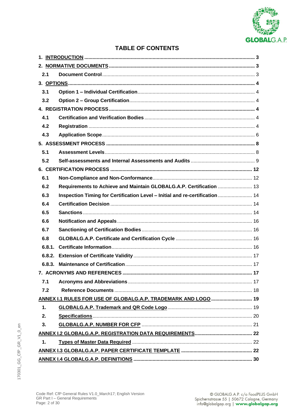

# **TABLE OF CONTENTS**

| 2.1    |                                                                              |  |
|--------|------------------------------------------------------------------------------|--|
|        |                                                                              |  |
| 3.1    |                                                                              |  |
| 3.2    |                                                                              |  |
|        |                                                                              |  |
| 4.1    |                                                                              |  |
| 4.2    |                                                                              |  |
| 4.3    |                                                                              |  |
|        |                                                                              |  |
| 5.1    |                                                                              |  |
| 5.2    |                                                                              |  |
|        |                                                                              |  |
| 6.1    |                                                                              |  |
| 6.2    | Requirements to Achieve and Maintain GLOBALG.A.P. Certification  13          |  |
| 6.3    | Inspection Timing for Certification Level - Initial and re-certification  14 |  |
| 6.4    |                                                                              |  |
| 6.5    |                                                                              |  |
| 6.6    |                                                                              |  |
| 6.7    |                                                                              |  |
| 6.8    |                                                                              |  |
| 6.8.1. |                                                                              |  |
| 6.8.2. |                                                                              |  |
|        |                                                                              |  |
|        | 7. ACRONYMS AND REFERENCES.<br>……… 17                                        |  |
| 7.1    |                                                                              |  |
| 7.2    |                                                                              |  |
|        | ANNEX I.1 RULES FOR USE OF GLOBALG.A.P. TRADEMARK AND LOGO  19               |  |
| 1.     |                                                                              |  |
| 2.     |                                                                              |  |
| 3.     |                                                                              |  |
|        |                                                                              |  |
| 1.     |                                                                              |  |
|        |                                                                              |  |
|        |                                                                              |  |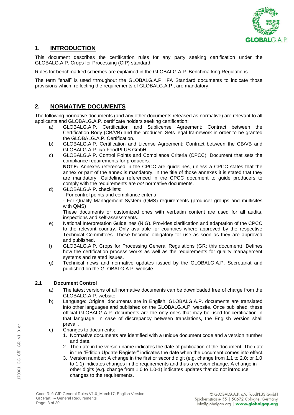

#### **1. INTRODUCTION**

This document describes the certification rules for any party seeking certification under the GLOBALG.A.P. Crops for Processing (CfP) standard.

Rules for benchmarked schemes are explained in the GLOBALG.A.P. Benchmarking Regulations.

The term "shall" is used throughout the GLOBALG.A.P. IFA Standard documents to indicate those provisions which, reflecting the requirements of GLOBALG.A.P., are mandatory.

#### **2. NORMATIVE DOCUMENTS**

The following normative documents (and any other documents released as normative) are relevant to all applicants and GLOBALG.A.P. certificate holders seeking certification:

- a) GLOBALG.A.P. Certification and Sublicense Agreement: Contract between the Certification Body (CB/VB) and the producer. Sets legal framework in order to be granted the GLOBALG.A.P. Certification.
- b) GLOBALG.A.P. Certification and License Agreement: Contract between the CB/VB and GLOBALG.A.P. c/o FoodPLUS GmbH.
- c) GLOBALG.A.P. Control Points and Compliance Criteria (CPCC): Document that sets the compliance requirements for producers. **NOTE:** Annexes referenced in the CPCC are guidelines, unless a CPCC states that the annex or part of the annex is mandatory. In the title of those annexes it is stated that they
- are mandatory. Guidelines referenced in the CPCC document to guide producers to comply with the requirements are *not* normative documents. d) GLOBALG.A.P. checklists:
- For control points and compliance criteria - For Quality Management System (QMS) requirements (producer groups and multisites with QMS)

These documents or customized ones with verbatim content are used for all audits, inspections and self-assessments.

- e) National Interpretation Guidelines (NIG). Provides clarification and adaptation of the CPCC to the relevant country. Only available for countries where approved by the respective Technical Committees. These become obligatory for use as soon as they are approved and published.
- f) GLOBALG.A.P. Crops for Processing General Regulations (GR; this document): Defines how the certification process works as well as the requirements for quality management systems and related issues.
- g) Technical news and normative updates issued by the GLOBALG.A.P. Secretariat and published on the GLOBALG.A.P. website.

#### **2.1 Document Control**

- a) The latest versions of all normative documents can be downloaded free of charge from the GLOBALG.A.P. website.
- b) Language: Original documents are in English. GLOBALG.A.P. documents are translated into other languages and published on the GLOBALG.A.P. website. Once published, these official GLOBALG.A.P. documents are the only ones that may be used for certification in that language. In case of discrepancy between translations, the English version shall prevail.
- c) Changes to documents:
	- 1. Normative documents are identified with a unique document code and a version number and date.
	- 2. The date in the version name indicates the date of publication of the document. The date in the "Edition Update Register" indicates the date when the document comes into effect.
	- 3. Version number: A change in the first or second digit (e.g. change from 1.1 to 2.0; or 1.0 to 1.1) indicates changes in the requirements and thus a version change. A change in other digits (e.g. change from 1.0 to 1.0-1) indicates updates that do not introduce changes to the requirements.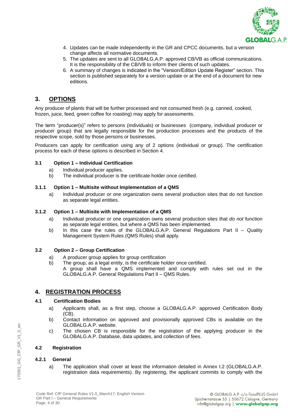

- 4. Updates can be made independently in the GR and CPCC documents, but a version change affects all normative documents.
- 5. The updates are sent to all GLOBALG.A.P. approved CB/VB as official communications. It is the responsibility of the CB/VB to inform their clients of such updates.
- 6. A summary of changes is indicated in the "Version/Edition Update Register" section. This section is published separately for a version update or at the end of a document for new editions.

#### **3. OPTIONS**

Any producer of plants that will be further processed and not consumed fresh (e.g. canned, cooked, frozen, juice, feed, green coffee for roasting) may apply for assessments.

The term "producer(s)" refers to persons (individuals) or businesses (company, individual producer or producer group) that are legally responsible for the production processes and the products of the respective scope, sold by those persons or businesses.

Producers can apply for certification using any of 2 options (individual or group). The certification process for each of these options is described in Section 4.

#### **3.1 Option 1 – Individual Certification**

- a) Individual producer applies.
- b) The individual producer is the certificate holder once certified.

#### **3.1.1 Option 1 – Multisite without Implementation of a QMS**

a) Individual producer or one organization owns several production sites that do not function as separate legal entities.

#### **3.1.2 Option 1 – Multisite with Implementation of a QMS**

- a) Individual producer or one organization owns several production sites that *do not* function as separate legal entities, but where a QMS has been implemented.
- b) In this case the rules of the GLOBALG.A.P. General Regulations Part II Quality Management System Rules (QMS Rules) shall apply.

#### **3.2 Option 2 – Group Certification**

- a) A producer group applies for group certification
- b) The group, as a legal entity, is the certificate holder once certified. A group shall have a QMS implemented and comply with rules set out in the GLOBALG.A.P. General Regulations Part II – QMS Rules.

#### **4. REGISTRATION PROCESS**

#### **4.1 Certification Bodies**

- a) Applicants shall, as a first step, choose a GLOBALG.A.P. approved Certification Body (CB).
- b) Contact information on approved and provisionally approved CBs is available on the GLOBALG.A.P. website.
- c) The chosen CB is responsible for the registration of the applying producer in the GLOBALG.A.P. Database, data updates, and collection of fees.

#### **4.2 Registration**

#### **4.2.1 General**

a) The application shall cover at least the information detailed in Annex I.2 (GLOBALG.A.P. registration data requirements). By registering, the applicant commits to comply with the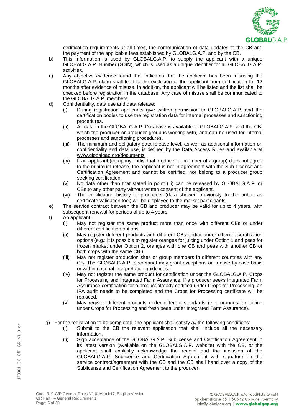

certification requirements at all times, the communication of data updates to the CB and the payment of the applicable fees established by GLOBALG.A.P. and by the CB.

- b) This information is used by GLOBALG.A.P. to supply the applicant with a unique GLOBALG.A.P. Number (GGN), which is used as a unique identifier for all GLOBALG.A.P. activities.
- c) Any objective evidence found that indicates that the applicant has been misusing the GLOBALG.A.P. claim shall lead to the exclusion of the applicant from certification for 12 months after evidence of misuse. In addition, the applicant will be listed and the list shall be checked before registration in the database. Any case of misuse shall be communicated to the GLOBALG.A.P. members.
- d) Confidentiality, data use and data release:
	- (i) During registration applicants give written permission to GLOBALG.A.P. and the certification bodies to use the registration data for internal processes and sanctioning procedures.
	- (ii) All data in the GLOBALG.A.P. Database is available to GLOBALG.A.P. and the CB, which the producer or producer group is working with, and can be used for internal processes and sanctioning procedures.
	- (iii) The minimum and obligatory data release level, as well as additional information on confidentiality and data use, is defined by the Data Access Rules and available at [www.globalgap.org/documents.](http://www.globalgap.org/documents)
	- (iv) If an applicant (company, individual producer or member of a group) does not agree to the minimum release, the applicant is not in agreement with the Sub-License and Certification Agreement and cannot be certified, nor belong to a producer group seeking certification.
	- (v) No data other than that stated in point (iii) can be released by GLOBALG.A.P. or CBs to any other party without written consent of the applicant.
	- (vi) The certification history of producers (data showed previously to the public as certificate validation tool) will be displayed to the market participants.
- e) The service contract between the CB and producer may be valid for up to 4 years, with subsequent renewal for periods of up to 4 years.
- f) An applicant:
	- (i) May not register the same product more than once with different CBs or under different certification options.
	- (ii) May register different products with different CBs and/or under different certification options (e.g.: It is possible to register oranges for juicing under Option 1 and peas for frozen market under Option 2, oranges with one CB and peas with another CB or both crops with the same CB.)
	- (iii) May not register production sites or group members in different countries with any CB. The GLOBALG.A.P. Secretariat may grant exceptions on a case-by-case basis or within national interpretation guidelines.
	- (iv) May not register the same product for certification under the GLOBALG.A.P. Crops for Processing and Integrated Farm Assurance. If a producer seeks Integrated Farm Assurance certification for a product already certified under Crops for Processing, an IFA audit needs to be completed and the Crops for Processing certificate will be replaced.
	- (v) May register different products under different standards (e.g. oranges for juicing under Crops for Processing and fresh peas under Integrated Farm Assurance).
- g) For the registration to be completed, the applicant shall satisfy *all* the following conditions:
	- (i) Submit to the CB the relevant application that shall include all the necessary information.
	- (ii) Sign acceptance of the GLOBALG.A.P. Sublicense and Certification Agreement in its latest version (available on the GLOBALG.A.P. website) with the CB, *or* the applicant shall explicitly acknowledge the receipt and the inclusion of the GLOBALG.A.P. Sublicense and Certification Agreement with signature on the service contract/agreement with the CB and the CB shall hand over a copy of the Sublicense and Certification Agreement to the producer.

170301\_GG\_CfP\_GR\_V1\_0\_en

170301 GG CfP GR V1 0 en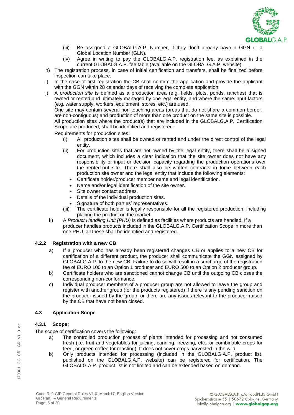

- (iii) Be assigned a GLOBALG.A.P. Number, if they don't already have a GGN or a Global Location Number (GLN).
- (iv) Agree in writing to pay the GLOBALG.A.P. registration fee, as explained in the current GLOBALG.A.P. fee table (available on the GLOBALG.A.P. website).
- h) The registration process, in case of initial certification and transfers, shall be finalized before inspection can take place.
- i) In the case of first registration the CB shall confirm the application and provide the applicant with the GGN within 28 calendar days of receiving the complete application.
- j) A *production site* is defined as a production area (e.g. fields, plots, ponds, ranches) that is owned or rented and ultimately managed by one legal entity, and where the same input factors (e.g. water supply, workers, equipment, stores, etc.) are used.

One site may contain several non-touching areas (areas that do not share a common border, are non-contiguous) and production of more than one product on the same site is possible.

All production sites where the product(s) that are included in the GLOBALG.A.P. Certification Scope are produced, shall be identified and registered.

Requirements for production sites:

- (i) All production sites shall be owned or rented and under the direct control of the legal entity.
- (ii) For production sites that are not owned by the legal entity, there shall be a signed document, which includes a clear indication that the site owner does not have any responsibility or input or decision capacity regarding the production operations over the rented-out site. There shall also be written contracts in force between each production site owner and the legal entity that include the following elements:
	- Certificate holder/producer member name and legal identification.
	- Name and/or legal identification of the site owner.
	- Site owner contact address.
	- Details of the individual production sites.
	- Signature of both parties' representatives.
- (iii) The certificate holder is legally responsible for all the registered production, including placing the product on the market.
- k) A *Product Handling Unit (PHU)* is defined as facilities where products are handled. If a producer handles products included in the GLOBALG.A.P. Certification Scope in more than one PHU, all these shall be identified and registered.

#### **4.2.2 Registration with a new CB**

- a) If a producer who has already been registered changes CB or applies to a new CB for certification of a different product, the producer shall communicate the GGN assigned by GLOBALG.A.P. to the new CB. Failure to do so will result in a surcharge of the registration fee of EURO 100 to an Option 1 producer and EURO 500 to an Option 2 producer group.
- b) Certificate holders who are sanctioned cannot change CB until the outgoing CB closes the corresponding non-conformance.
- c) Individual producer members of a producer group are not allowed to leave the group and register with another group (for the products registered) if there is any pending sanction on the producer issued by the group, or there are any issues relevant to the producer raised by the CB that have not been closed.

#### **4.3 Application Scope**

#### **4.3.1 Scope:**

The scope of certification covers the following:

- a) The controlled production process of plants intended for processing and not consumed fresh (i.e. fruit and vegetables for juicing, canning, freezing, etc., or combinable crops for feed, or green coffee for roasting). It does not cover crops harvested in the wild.
- b) Only products intended for processing (included in the GLOBALG.A.P. product list, published on the GLOBALG.A.P. website) can be registered for certification. The GLOBALG.A.P. product list is not limited and can be extended based on demand.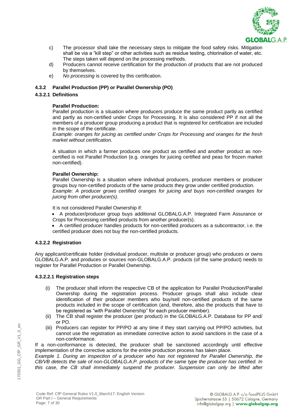

- c) The processor shall take the necessary steps to mitigate the food safety risks. Mitigation shall be via a "kill step" or other activities such as residue testing, chlorination of water, etc. The steps taken will depend on the processing methods.
- d) Producers cannot receive certification for the production of products that are not produced by themselves.
- e) *No processing* is covered by this certification.

#### **4.3.2 Parallel Production (PP) or Parallel Ownership (PO)**

#### **4.3.2.1 Definitions**

#### **Parallel Production:**

Parallel production is a situation where producers produce the same product partly as certified and partly as non-certified under Crops for Processing. It is also considered PP if not all the members of a producer group producing a product that is registered for certification are included in the scope of the certificate.

*Example: oranges for juicing as certified under Crops for Processing and oranges for the fresh market without certification.*

A situation in which a farmer produces one product as certified and another product as noncertified is not Parallel Production (e.g. oranges for juicing certified and peas for frozen market non-certified).

#### **Parallel Ownership:**

Parallel Ownership is a situation where individual producers, producer members or producer groups buy non-certified products of the same products they grow under certified production. *Example: A producer grows certified oranges for juicing and buys non-certified oranges for juicing from other producer(s).*

It is not considered Parallel Ownership if:

- A producer/producer group buys additional GLOBALG.A.P. Integrated Farm Assurance or Crops for Processing certified products from another producer(s).
- A certified producer handles products for non-certified producers as a subcontractor, i.e. the certified producer does not buy the non-certified products.

#### **4.3.2.2 Registration**

Any applicant/certificate holder (individual producer, multisite or producer group) who produces or owns GLOBALG.A.P. and produces or sources non-GLOBALG.A.P. products (of the same product) needs to register for Parallel Production or Parallel Ownership.

#### **4.3.2.2.1 Registration steps**

- (i) The producer shall inform the respective CB of the application for Parallel Production/Parallel Ownership during the registration process. Producer groups shall also include clear identification of their producer members who buy/sell non-certified products of the same products included in the scope of certification (and, therefore, also the products that have to be registered as "with Parallel Ownership" for each producer member).
- (ii) The CB shall register the producer (per product) in the GLOBALG.A.P. Database for PP and/ or PO.
- (iii) Producers can register for PP/PO at any time if they start carrying out PP/PO activities, but cannot use the registration as immediate corrective action to avoid sanctions in the case of a non-conformance.

If a non-conformance is detected, the producer shall be sanctioned accordingly until effective implementation of the corrective actions for the entire production process has taken place.

*Example 1. During an inspection of a producer who has not registered for Parallel Ownership, the CB/VB detects the sale of non-GLOBALG.A.P. products of the same type the producer has certified. In this case, the CB shall immediately suspend the producer. Suspension can only be lifted after*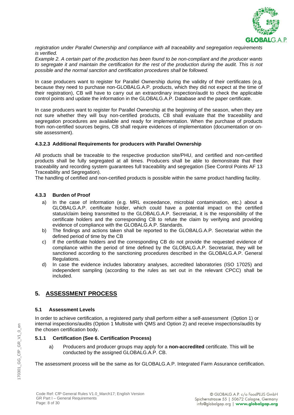

*registration under Parallel Ownership and compliance with all traceability and segregation requirements is verified.*

*Example 2. A certain part of the production has been found to be non-compliant and the producer wants*  to segregate it and maintain the certification for the rest of the production during the audit. This is not *possible and the normal sanction and certification procedures shall be followed.*

In case producers want to register for Parallel Ownership during the validity of their certificates (e.g. because they need to purchase non-GLOBALG.A.P. products, which they did not expect at the time of their registration), CB will have to carry out an extraordinary inspection/audit to check the applicable control points and update the information in the GLOBALG.A.P. Database and the paper certificate.

In case producers want to register for Parallel Ownership at the beginning of the season, when they are not sure whether they will buy non-certified products, CB shall evaluate that the traceability and segregation procedures are available and ready for implementation. When the purchase of products from non-certified sources begins, CB shall require evidences of implementation (documentation or onsite assessment).

#### **4.3.2.3 Additional Requirements for producers with Parallel Ownership**

All products shall be traceable to the respective production site/PHU, and certified and non-certified products shall be fully segregated at all times. Producers shall be able to demonstrate that their traceability and recording system guarantees full traceability and segregation (See Control Points AF 13 Traceability and Segregation).

The handling of certified and non-certified products is possible within the same product handling facility.

#### **4.3.3 Burden of Proof**

- a) In the case of information (e.g. MRL exceedance, microbial contamination, etc.) about a GLOBALG.A.P. certificate holder, which could have a potential impact on the certified status/claim being transmitted to the GLOBALG.A.P. Secretariat, it is the responsibility of the certificate holders and the corresponding CB to refute the claim by verifying and providing evidence of compliance with the GLOBALG.A.P. Standards.
- b) The findings and actions taken shall be reported to the GLOBALG.A.P. Secretariat within the defined period of time by the CB
- c) If the certificate holders and the corresponding CB do not provide the requested evidence of compliance within the period of time defined by the GLOBALG.A.P. Secretariat, they will be sanctioned according to the sanctioning procedures described in the GLOBALG.A.P. General Regulations.
- d) In case the evidence includes laboratory analyses, accredited laboratories (ISO 17025) and independent sampling (according to the rules as set out in the relevant CPCC) shall be included.

#### **5. ASSESSMENT PROCESS**

#### **5.1 Assessment Levels**

In order to achieve certification, a registered party shall perform either a self-assessment (Option 1) or internal inspections/audits (Option 1 Multisite with QMS and Option 2) and receive inspections/audits by the chosen certification body.

#### **5.1.1 Certification (See 6. Certification Process)**

a) Producers and producer groups may apply for a **non-accredited** certificate. This will be conducted by the assigned GLOBALG.A.P. CB.

The assessment process will be the same as for GLOBALG.A.P. Integrated Farm Assurance certification.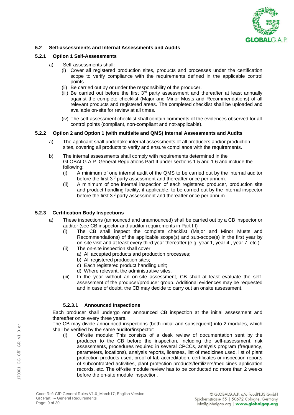

#### **5.2 Self-assessments and Internal Assessments and Audits**

#### **5.2.1 Option 1 Self-Assessments**

- a) Self-assessments shall:
	- (i) Cover all registered production sites, products and processes under the certification scope to verify compliance with the requirements defined in the applicable control points.
	- (ii) Be carried out by or under the responsibility of the producer.
	- (iii) Be carried out before the first  $3<sup>rd</sup>$  party assessment and thereafter at least annually against the complete checklist (Major and Minor Musts and Recommendations) of all relevant products and registered areas. The completed checklist shall be uploaded and available on-site for review at all times.
	- (iv) The self-assessment checklist shall contain comments of the evidences observed for all control points (compliant, non-compliant and not-applicable).

#### **5.2.2 Option 2 and Option 1 (with multisite and QMS) Internal Assessments and Audits**

- a) The applicant shall undertake internal assessments of all producers and/or production sites, covering all products to verify and ensure compliance with the requirements.
- b) The internal assessments shall comply with requirements determined in the GLOBALG.A.P. General Regulations Part II under sections 1.5 and 1.6 and include the following:
	- (i) A minimum of one internal audit of the QMS to be carried out by the internal auditor before the first 3<sup>rd</sup> party assessment and thereafter once per annum.
	- (ii) A minimum of one internal inspection of each registered producer, production site and product handling facility, if applicable, to be carried out by the internal inspector before the first 3<sup>rd</sup> party assessment and thereafter once per annum.

#### **5.2.3 Certification Body Inspections**

- a) These inspections (announced and unannounced) shall be carried out by a CB inspector or auditor (see CB inspector and auditor requirements in Part III)
	- (i) The CB shall inspect the complete checklist (Major and Minor Musts and Recommendations) of the applicable scope(s) and sub-scope(s) in the first year by on-site visit and at least every third year thereafter (e.g. year 1, year 4 , year 7, etc.).
	- (ii) The on-site inspection shall cover:
		- a) All accepted products and production processes;
		- b) All registered production sites;
		- c) Each registered product handling unit;
		- d) Where relevant, the administrative sites.
	- (iii) In the year without an on-site assessment, CB shall at least evaluate the selfassessment of the producer/producer group. Additional evidences may be requested and in case of doubt, the CB may decide to carry out an onsite assessment.

#### **5.2.3.1 Announced Inspections**

Each producer shall undergo one announced CB inspection at the initial assessment and thereafter once every three years.

The CB may divide announced inspections (both initial and subsequent) into 2 modules, which shall be verified by the same auditor/inspector:

(i) Off-site module: This consists of a desk review of documentation sent by the producer to the CB before the inspection, including the self-assessment, risk assessments, procedures required in several CPCCs, analysis program (frequency, parameters, locations), analysis reports, licenses, list of medicines used, list of plant protection products used, proof of lab accreditation, certificates or inspection reports of subcontracted activities, plant protection products/fertilizers/medicines application records, etc. The off-site module review has to be conducted no more than 2 weeks before the on-site module inspection.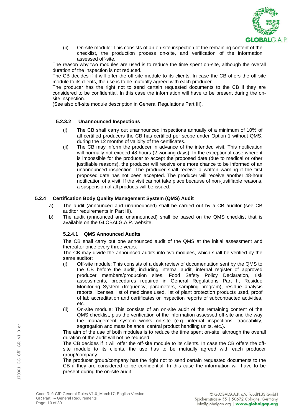

(ii) On-site module: This consists of an on-site inspection of the remaining content of the checklist, the production process on-site, and verification of the information assessed off-site.

The reason why two modules are used is to reduce the time spent on-site, although the overall duration of the inspection is not reduced.

The CB decides if it will offer the off-site module to its clients. In case the CB offers the off-site module to its clients, the use is to be mutually agreed with each producer.

The producer has the right not to send certain requested documents to the CB if they are considered to be confidential. In this case the information will have to be present during the onsite inspection.

(See also off-site module description in General Regulations Part III).

#### **5.2.3.2 Unannounced Inspections**

- (i) The CB shall carry out unannounced inspections annually of a minimum of 10% of all certified producers the CB has certified per scope under Option 1 without QMS, during the 12 months of validity of the certificates.
- (ii) The CB may inform the producer in advance of the intended visit. This notification will normally not exceed 48 hours (2 working days). In the exceptional case where it is impossible for the producer to accept the proposed date (due to medical or other justifiable reasons), the producer will receive one more chance to be informed of an unannounced inspection. The producer shall receive a written warning if the first proposed date has not been accepted. The producer will receive another 48-hour notification of a visit. If the visit cannot take place because of non-justifiable reasons, a suspension of all products will be issued.

#### **5.2.4 Certification Body Quality Management System (QMS) Audit**

- a) The audit (announced and unannounced) shall be carried out by a CB auditor (see CB auditor requirements in Part III).
- b) The audit (announced and unannounced) shall be based on the QMS checklist that is available on the GLOBALG.A.P. website.

#### **5.2.4.1 QMS Announced Audits**

The CB shall carry out one announced audit of the QMS at the initial assessment and thereafter once every three years.

The CB may divide the announced audits into two modules, which shall be verified by the same auditor:

- (i) Off-site module: This consists of a desk review of documentation sent by the QMS to the CB before the audit, including internal audit, internal register of approved producer members/production sites, Food Safety Policy Declaration, risk assessments, procedures required in General Regulations Part II, Residue Monitoring System (frequency, parameters, sampling program), residue analysis reports, licenses, list of medicines used, list of plant protection products used, proof of lab accreditation and certificates or inspection reports of subcontracted activities, etc.
- (ii) On-site module: This consists of an on-site audit of the remaining content of the QMS checklist, plus the verification of the information assessed off-site and the way the management system works on-site (e.g. internal inspections, traceability, segregation and mass balance, central product handling units, etc.).

The aim of the use of both modules is to reduce the time spent on-site, although the overall duration of the audit will not be reduced.

The CB decides if it will offer the off-site module to its clients. In case the CB offers the offsite module to its clients, the use has to be mutually agreed with each producer group/company.

The producer group/company has the right not to send certain requested documents to the CB if they are considered to be confidential. In this case the information will have to be present during the on-site audit.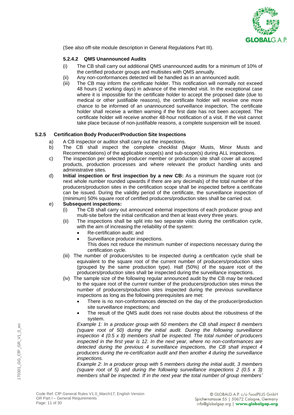

(See also off-site module description in General Regulations Part III).

#### **5.2.4.2 QMS Unannounced Audits**

- (i) The CB shall carry out additional QMS unannounced audits for a minimum of 10% of the certified producer groups and multisites with QMS annually.
- (ii) Any non-conformances detected will be handled as in an announced audit.
- (iii) The CB may inform the certificate holder. This notification will normally not exceed 48 hours (2 working days) in advance of the intended visit. In the exceptional case where it is impossible for the certificate holder to accept the proposed date (due to medical or other justifiable reasons), the certificate holder will receive one more chance to be informed of an unannounced surveillance inspection. The certificate holder shall receive a written warning if the first date has not been accepted. The certificate holder will receive another 48-hour notification of a visit. If the visit cannot take place because of non-justifiable reasons, a complete suspension will be issued.

#### **5.2.5 Certification Body Producer/Production Site Inspections**

- a) A CB inspector or auditor shall carry out the inspections.
- b) The CB shall inspect the complete checklist (Major Musts, Minor Musts and Recommendations) of the applicable scope(s) and sub-scope(s) during ALL inspections.
- c) The inspection per selected producer member or production site shall cover all accepted products, production processes and where relevant the product handling units and administrative sites.
- d) **Initial inspection or first inspection by a new CB:** As a minimum the square root (or next whole number rounded upwards if there are any decimals) of the total number of the producers/production sites in the certification scope shall be inspected before a certificate can be issued. During the validity period of the certificate, the surveillance inspection of (minimum) 50% square root of certified producers/production sites shall be carried out.

#### e) **Subsequent inspections:**

- (i) The CB shall carry out announced external inspections of each producer group and multi-site before the initial certification and then at least every three years.
- (ii) The inspections shall be split into two separate visits during the certification cycle, with the aim of increasing the reliability of the system:
	- Re-certification audit; and
	- Surveillance producer inspections.
		- This does not reduce the minimum number of inspections necessary during the certification cycle.
- (iii) The number of producers/sites to be inspected during a certification cycle shall be equivalent to the square root of the current number of producers/production sites (grouped by the same production type). Half (50%) of the square root of the producers/production sites shall be inspected during the surveillance inspections.
- (iv) The sample size of the following regular announced audit by the CB may be reduced to the square root of the *current* number of the producers/production sites minus the number of producers/production sites inspected during the previous surveillance inspections as long as the following prerequisites are met:
	- There is no non-conformances detected on the day of the producer/production site surveillance inspections; and
	- The result of the QMS audit does not raise doubts about the robustness of the system.

*Example 1: In a producer group with 50 members the CB shall inspect 8 members (square root of 50) during the initial audit. During the following surveillance inspection 4 (0.5 x 8) members shall be inspected. The total number of producers inspected in the first year is 12. In the next year, where no non-conformances are detected during the previous 4 surveillance inspections, the CB shall inspect 4 producers during the re-certification audit and then another 4 during the surveillance inspections.*

*Example 2: In a producer group with 5 members during the initial audit, 3 members (square root of 5) and during the following surveillance inspections 2 (0.5 x 3) members shall be inspected. If in the next year the total number of group members'*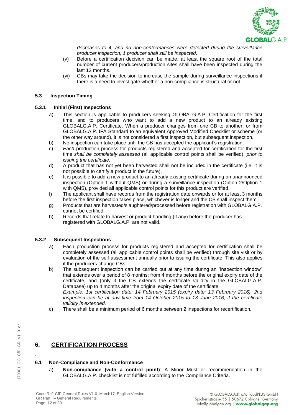

*decreases to 4, and no non-conformances were detected during the surveillance producer inspection, 1 producer shall still be inspected*.

- (v) Before a certification decision can be made, at least the square root of the total number of current producers/production sites shall have been inspected during the last 12 months.
- (vi) CBs may take the decision to increase the sample during surveillance inspections if there is a need to investigate whether a non-compliance is structural or not.

#### **5.3 Inspection Timing**

#### **5.3.1 Initial (First) Inspections**

- a) This section is applicable to producers seeking GLOBALG.A.P. Certification for the first time, and to producers who want to add a new product to an already existing GLOBALG.A.P. Certificate. When a producer changes from one CB to another, or from GLOBALG.A.P. IFA Standard to an equivalent Approved Modified Checklist or scheme (or the other way around), it is not considered a first inspection, but subsequent inspection.
- b) No inspection can take place until the CB has accepted the applicant's registration.
- c) *Each* production process for products registered and accepted for certification for the first time *shall be completely assessed* (all applicable control points shall be verified), *prior to issuing the certificate.*
- d) A product that has not yet been harvested shall not be included in the certificate (i.e. it is not possible to certify a product in the future).
- e) It is possible to add a new product to an already existing certificate during an unannounced inspection (Option 1 without QMS) or during a surveillance inspection (Option 2/Option 1 with QMS), provided all applicable control points for this product are verified.
- f) The applicant shall have records from the registration date onwards or for at least 3 months before the first inspection takes place, whichever is longer and the CB shall inspect them
- g) Products that are harvested/slaughtered/processed before registration with GLOBALG.A.P. cannot be certified.
- h) Records that relate to harvest or product handling (if any) before the producer has registered with GLOBALG.A.P. are not valid.

#### **5.3.2 Subsequent Inspections**

- a) Each production process for products registered and accepted for certification shall be completely assessed (all applicable control points shall be verified) through site visit or by evaluation of the self-assessment annually prior to issuing the certificate. This also applies if the producers change CBs.
- b) The subsequent inspection can be carried out at any time during an "inspection window" that extends over a period of 8 months: from 4 months before the original expiry date of the certificate, and (only if the CB extends the certificate validity in the GLOBALG.A.P. Database) up to 4 months after the original expiry date of the certificate. *Example: 1st certification date: 14 February 2015 (expiry date: 13 February 2016). 2nd inspection can be at any time from 14 October 2015 to 13 June 2016, if the certificate validity is extended.*
- c) There shall be a minimum period of 6 months between 2 inspections for recertification.

#### **6. CERTIFICATION PROCESS**

#### **6.1 Non-Compliance and Non-Conformance**

a) **Non-compliance (with a control point)**: A Minor Must or recommendation in the GLOBALG.A.P. checklist is not fulfilled according to the Compliance Criteria.

.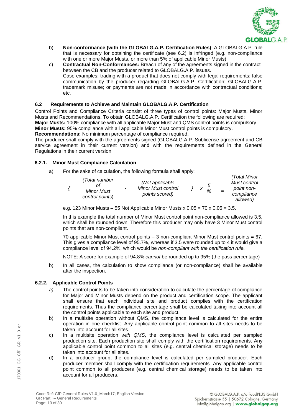

- b) **Non-conformance (with the GLOBALG.A.P. Certification Rules)**: A GLOBALG.A.P. rule that is necessary for obtaining the certificate (see 6.2) is infringed (e.g. non-compliance with one or more Major Musts, or more than 5% of applicable Minor Musts).
- c) **Contractual Non-Conformances:** Breach of any of the agreements signed in the contract between the CB and the producer related to GLOBALG.A.P. issues. Case examples: trading with a product that does not comply with legal requirements; false communication by the producer regarding GLOBALG.A.P. Certification; GLOBALG.A.P. trademark misuse; or payments are not made in accordance with contractual conditions; etc.

#### **6.2 Requirements to Achieve and Maintain GLOBALG.A.P. Certification**

Control Points and Compliance Criteria consist of three types of control points: Major Musts, Minor Musts and Recommendations. To obtain GLOBALG.A.P. Certification the following are required:

**Major Musts:** 100% compliance with all applicable Major Must and QMS control points is compulsory.

**Minor Musts:** 95% compliance with all applicable Minor Must control points is compulsory.

**Recommendations:** No minimum percentage of compliance required.

The producer shall comply with the agreements signed (GLOBALG.A.P. Sublicense agreement and CB service agreement in their current version) and with the requirements defined in the General Regulations in their current version.

#### **6.2.1. Minor Must Compliance Calculation**

a) For the sake of calculation, the following formula shall apply:

|  | (Total number<br>Minor Must<br>control points) | ٠ | (Not applicable<br><b>Minor Must control</b><br>points scored) |  | X | .5<br>$\Omega$ | $=$ | (Total Minor<br>Must control<br>point non-<br>compliance<br>allowed) |
|--|------------------------------------------------|---|----------------------------------------------------------------|--|---|----------------|-----|----------------------------------------------------------------------|
|--|------------------------------------------------|---|----------------------------------------------------------------|--|---|----------------|-----|----------------------------------------------------------------------|

e.g. 123 Minor Musts – 55 Not Applicable Minor Musts x  $0.05 = 70 \times 0.05 = 3.5$ .

In this example the total number of Minor Must control point non-compliance allowed is 3.5, which shall be rounded down. Therefore this producer may only have 3 Minor Must control points that are non-compliant.

70 applicable Minor Must control points – 3 non-compliant Minor Must control points = 67. This gives a compliance level of 95.7%, whereas if 3.5 were rounded up to 4 it would give a compliance level of 94.2%, which would be *non-compliant with the certification rule.* 

NOTE: A score for example of 94.8% *cannot* be rounded up to 95% (the pass percentage)

b) In all cases, the calculation to show compliance (or non-compliance) shall be available after the inspection.

#### **6.2.2. Applicable Control Points**

- *a)* The control points to be taken into consideration to calculate the percentage of compliance for Major and Minor Musts depend on the product and certification scope. The applicant shall ensure that each individual site and product complies with the certification requirements. Thus the compliance percentage shall be calculated taking into account all the control points applicable to each site and product.
- b) In a multisite operation without QMS, the compliance level is calculated for the entire operation in one checklist. Any applicable control point common to all sites needs to be taken into account for all sites.
- c) In a multisite operation *with QMS*, the compliance level is calculated per sampled production site. Each production site shall comply with the certification requirements. Any applicable control point common to all sites (e.g. central chemical storage) needs to be taken into account for all sites.
- d) In a producer group, the compliance level is calculated per sampled producer. Each producer member shall comply with the certification requirements. Any applicable control point common to all producers (e.g. central chemical storage) needs to be taken into account for all producers.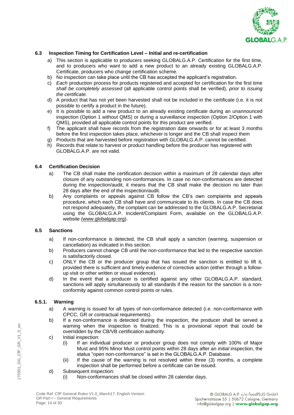

#### **6.3 Inspection Timing for Certification Level – Initial and re-certification**

- a) This section is applicable to producers seeking GLOBALG.A.P. Certification for the first time, and to producers who want to add a new product to an already existing GLOBALG.A.P. Certificate, producers who change certification scheme.
- b) No inspection can take place until the CB has accepted the applicant's registration.
- c) *Each* production process for products registered and accepted for certification for the first time *shall be completely assessed* (all applicable control points shall be verified), *prior to issuing the certificate.*
- d) A product that has not yet been harvested shall not be included in the certificate (i.e. it is not possible to certify a product in the future).
- e) It is possible to add a new product to an already existing certificate during an unannounced inspection (Option 1 without QMS) or during a surveillance inspection (Option 2/Option 1 with QMS), provided all applicable control points for this product are verified.
- f) The applicant shall have records from the registration date onwards or for at least 3 months before the first inspection takes place, whichever is longer and the CB shall inspect them
- g) Products that are harvested before registration with GLOBALG.A.P. cannot be certified.
- h) Records that relate to harvest or product handling before the producer has registered with GLOBALG.A.P. are not valid.

#### **6.4 Certification Decision**

- a) The CB shall make the certification decision within a maximum of 28 calendar days after closure of any outstanding non-conformances. In case no non-conformances are detected during the inspection/audit, it means that the CB shall make the decision no later than 28 days after the end of the inspection/audit.
- b) Any complaints or appeals against CB follow the CB's own complaints and appeals procedure, which each CB shall have and communicate to its clients. In case the CB does not respond adequately, the complaint can be addressed to the GLOBALG.A.P. Secretariat using the GLOBALG.A.P. Incident/Complaint Form, available on the GLOBALG.A.P. website [\(www.globalgap.org\)](http://www.globalgap.org/).

#### **6.5 Sanctions**

- a) If non-conformance is detected, the CB shall apply a sanction (warning, suspension or cancellation) as indicated in this section.
- b) Producers cannot change CB until the non-conformance that led to the respective sanction is satisfactorily closed.
- c) ONLY the CB or the producer group that has issued the sanction is entitled to lift it, provided there is sufficient and timely evidence of corrective action (either through a followup visit or other written or visual evidence).
- d) In the event that a producer is certified against any other GLOBALG.A.P. standard, sanctions will apply simultaneously to all standards if the reason for the sanction is a nonconformity against common control points or rules.

#### **6.5.1. Warning**

- a) A warning is issued for all types of non-conformance detected (i.e. non-conformance with CPCC, GR or contractual requirements).
- b) If a non-conformance is detected during the inspection, the producer shall be served a warning when the inspection is finalized. This is a provisional report that could be overridden by the CB/VB certification authority.
- c) Initial inspection:
	- (i) If an individual producer or producer group does not comply with 100% of Major Must and 95% Minor Must control points within 28 days after an *initial* inspection, the status "open non-conformance" is set in the GLOBALG.A.P. Database.
	- (ii) If the cause of the warning is not resolved within three (3) months, a complete inspection shall be performed before a certificate can be issued.
- d) Subsequent inspection:
	- (i) Non-conformances shall be closed within 28 calendar days.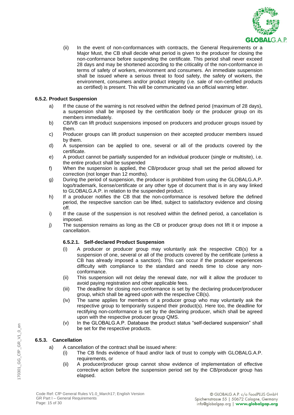

(ii) In the event of non-conformances with contracts, the General Requirements or a Major Must, the CB shall decide what period is given to the producer for closing the non-conformance before suspending the certificate. This period shall never exceed 28 days and may be shortened according to the criticality of the non-conformance in terms of safety of workers, environment and consumers. An immediate suspension shall be issued where a serious threat to food safety, the safety of workers, the environment, consumers and/or product integrity (i.e. sale of non-certified products as certified) is present. This will be communicated via an official warning letter.

#### **6.5.2. Product Suspension**

- a) If the cause of the warning is not resolved within the defined period (maximum of 28 days), a suspension shall be imposed by the certification body or the producer group on its members immediately.
- b) CB/VB can lift product suspensions imposed on producers and producer groups issued by them.
- c) Producer groups can lift product suspension on their accepted producer members issued by them.
- d) A suspension can be applied to one, several or all of the products covered by the certificate.
- e) A product cannot be partially suspended for an individual producer (single or multisite), i.e. the entire product shall be suspended
- f) When the suspension is applied, the CB/producer group shall set the period allowed for correction (not longer than 12 months).
- g) During the period of suspension, the producer is prohibited from using the GLOBALG.A.P. logo/trademark, license/certificate or any other type of document that is in any way linked to GLOBALG.A.P. in relation to the suspended product.
- h) If a producer notifies the CB that the non-conformance is resolved before the defined period, the respective sanction can be lifted, subject to satisfactory evidence and closing off.
- i) If the cause of the suspension is not resolved within the defined period, a cancellation is imposed.
- j) The suspension remains as long as the CB or producer group does not lift it or impose a cancellation.

#### **6.5.2.1. Self-declared Product Suspension**

- (i) A producer or producer group may voluntarily ask the respective CB(s) for a suspension of one, several or all of the products covered by the certificate (unless a CB has already imposed a sanction). This can occur if the producer experiences difficulty with compliance to the standard and needs time to close any nonconformance.
- (ii) This suspension will not delay the renewal date, nor will it allow the producer to avoid paying registration and other applicable fees.
- (iii) The deadline for closing non-conformance is set by the declaring producer/producer group, which shall be agreed upon with the respective CB(s).
- (iv) The same applies for members of a producer group who may voluntarily ask the respective group to temporarily suspend their product(s). Here too, the deadline for rectifying non-conformance is set by the declaring producer, which shall be agreed upon with the respective producer group QMS.
- (v) In the GLOBALG.A.P. Database the product status "self-declared suspension" shall be set for the respective products.

#### **6.5.3. Cancellation**

170301\_GG\_CfP\_GR\_V1\_0\_en

170301 GG CfP GR V1 0 en

- a) A cancellation of the contract shall be issued where:
	- (i) The CB finds evidence of fraud and/or lack of trust to comply with GLOBALG.A.P. requirements, or
	- (ii) A producer/producer group cannot show evidence of implementation of effective corrective action before the suspension period set by the CB/producer group has elapsed.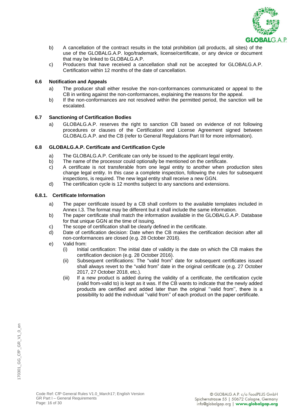

- b) A cancellation of the contract results in the total prohibition (all products, all sites) of the use of the GLOBALG.A.P. logo/trademark, license/certificate, or any device or document that may be linked to GLOBALG.A.P.
- c) Producers that have received a cancellation shall not be accepted for GLOBALG.A.P. Certification within 12 months of the date of cancellation.

#### **6.6 Notification and Appeals**

- a) The producer shall either resolve the non-conformances communicated or appeal to the CB in writing against the non-conformances, explaining the reasons for the appeal.
- b) If the non-conformances are not resolved within the permitted period, the sanction will be escalated.

#### **6.7 Sanctioning of Certification Bodies**

a) GLOBALG.A.P. reserves the right to sanction CB based on evidence of not following procedures or clauses of the Certification and License Agreement signed between GLOBALG.A.P. and the CB (refer to General Regulations Part III for more information).

#### **6.8 GLOBALG.A.P. Certificate and Certification Cycle**

- a) The GLOBALG.A.P. Certificate can only be issued to the applicant legal entity.
- b) The name of the processor could optionally be mentioned on the certificate.
- c) A certificate is not transferable from one legal entity to another when production sites change legal entity. In this case a complete inspection, following the rules for subsequent inspections, is required. The new legal entity shall receive a new GGN.
- d) The certification cycle is 12 months subject to any sanctions and extensions.

#### **6.8.1. Certificate Information**

- a) The paper certificate issued by a CB shall conform to the available templates included in Annex I.3. The format may be different but it shall include the same information.
- b) The paper certificate shall match the information available in the GLOBALG.A.P. Database for that unique GGN at the time of issuing.
- c) The scope of certification shall be clearly defined in the certificate.
- d) Date of certification decision: Date when the CB makes the certification decision after all non-conformances are closed (e.g. 28 October 2016).

#### e) Valid from:

- (i) Initial certification: The initial date of validity is the date on which the CB makes the certification decision (e.g. 28 October 2016).
- (ii) Subsequent certifications: The "valid from" date for subsequent certificates issued shall always revert to the "valid from" date in the original certificate (e.g. 27 October 2017, 27 October 2018, etc.).
- (iii) If a new product is added during the validity of a certificate, the certification cycle (valid from-valid to) is kept as it was. If the CB wants to indicate that the newly added products are certified and added later than the original ''valid from'', there is a possibility to add the individual ''valid from'' of each product on the paper certificate.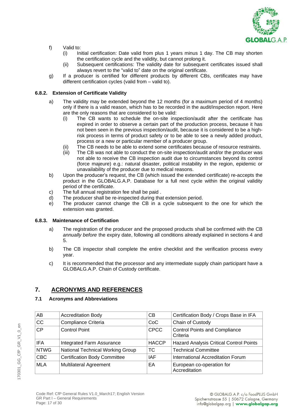

- f) Valid to:
	- (i) Initial certification: Date valid from plus 1 years minus 1 day. The CB may shorten the certification cycle and the validity, but cannot prolong it.
	- (ii) Subsequent certifications: The validity date for subsequent certificates issued shall always revert to the "valid to" date on the original certificate.
- g) If a producer is certified for different products by different CBs, certificates may have different certification cycles (valid from – valid to).

#### **6.8.2. Extension of Certificate Validity**

- a) The validity may be extended beyond the 12 months (for a maximum period of 4 months) only if there is a valid reason, which has to be recorded in the audit/inspection report. Here are the only reasons that are considered to be valid:
	- (i) The CB wants to schedule the on-site inspection/audit after the certificate has expired in order to observe a certain part of the production process, because it has not been seen in the previous inspection/audit, because it is considered to be a highrisk process in terms of product safety or to be able to see a newly added product, process or a new or particular member of a producer group.
	- (ii) The CB needs to be able to extend some certificates because of resource restraints.
	- (iii) The CB was not able to conduct the on-site inspection/audit and/or the producer was not able to receive the CB inspection audit due to circumstances beyond its control (force majeure) e.g.: natural disaster, political instability in the region, epidemic or unavailability of the producer due to medical reasons.
- b) Upon the producer's request, the CB (which issued the extended certificate) re-accepts the product in the GLOBALG.A.P. Database for a full next cycle within the original validity period of the certificate.
- c) The full annual registration fee shall be paid .
- d) The producer shall be re-inspected during that extension period.
- e) The producer cannot change the CB in a cycle subsequent to the one for which the extension was granted.

#### **6.8.3. Maintenance of Certification**

- a) The registration of the producer and the proposed products shall be confirmed with the CB *annually before* the expiry date, following all conditions already explained in sections 4 and 5.
- b) The CB inspector shall complete the entire checklist and the verification process every year.
- c) It is recommended that the processor and any intermediate supply chain participant have a GLOBALG.A.P. Chain of Custody certificate.

#### **7. ACRONYMS AND REFERENCES**

#### **7.1 Acronyms and Abbreviations**

| AB          | <b>Accreditation Body</b>           | CB           | Certification Body / Crops Base in IFA     |
|-------------|-------------------------------------|--------------|--------------------------------------------|
| CC          | Compliance Criteria                 | CoC          | Chain of Custody                           |
| CP          | <b>Control Point</b>                | <b>CPCC</b>  | Control Points and Compliance<br>Criteria  |
| <b>IFA</b>  | Integrated Farm Assurance           | <b>HACCP</b> | Hazard Analysis Critical Control Points    |
| <b>NTWG</b> | National Technical Working Group    | <b>TC</b>    | <b>Technical Committee</b>                 |
| <b>CBC</b>  | <b>Certification Body Committee</b> | <b>IAF</b>   | International Accreditation Forum          |
| <b>MLA</b>  | <b>Multilateral Agreement</b>       | EA           | European co-operation for<br>Accreditation |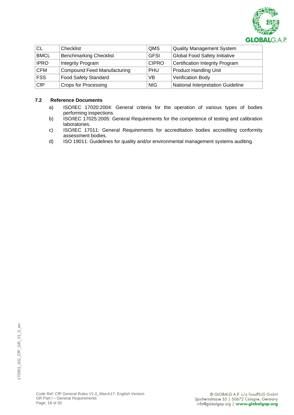

| <b>CL</b>   | Checklist                          | <b>QMS</b>   | Quality Management System            |
|-------------|------------------------------------|--------------|--------------------------------------|
| <b>BMCL</b> | <b>Benchmarking Checklist</b>      | <b>GFSI</b>  | <b>Global Food Safety Initiative</b> |
| <b>IPRO</b> | Integrity Program                  | <b>CIPRO</b> | Certification Integrity Program      |
| <b>CFM</b>  | <b>Compound Feed Manufacturing</b> | <b>PHU</b>   | <b>Product Handling Unit</b>         |
| <b>FSS</b>  | <b>Food Safety Standard</b>        | VB           | <b>Verification Body</b>             |
| <b>CfP</b>  | <b>Crops for Processing</b>        | <b>NIG</b>   | National Interpretation Guideline    |

#### **7.2 Reference Documents**

- a) ISO/IEC 17020:2004: General criteria for the operation of various types of bodies performing inspections.
- b) ISO/IEC 17025:2005: General Requirements for the competence of testing and calibration laboratories.
- c) ISO/IEC 17011: General Requirements for accreditation bodies accrediting conformity assessment bodies.
- d) ISO 19011: Guidelines for quality and/or environmental management systems auditing.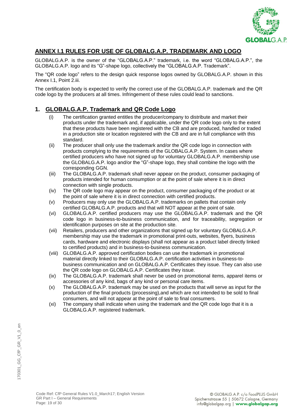

#### **ANNEX I.1 RULES FOR USE OF GLOBALG.A.P. TRADEMARK AND LOGO**

GLOBALG.A.P. is the owner of the "GLOBALG.A.P." trademark, i.e. the word "GLOBALG.A.P.", the GLOBALG.A.P. logo and its "G"-shape logo, collectively the "GLOBALG.A.P. Trademark".

The "QR code logo" refers to the design quick response logos owned by GLOBALG.A.P. shown in this Annex I.1, Point 2.iii.

The certification body is expected to verify the correct use of the GLOBALG.A.P. trademark and the QR code logo by the producers at all times. Infringement of these rules could lead to sanctions.

#### **1. GLOBALG.A.P. Trademark and QR Code Logo**

- (i) The certification granted entitles the producer/company to distribute and market their products under the trademark and, if applicable, under the QR code logo only to the extent that these products have been registered with the CB and are produced, handled or traded in a production site or location registered with the CB and are in full compliance with this standard.
- (ii) The producer shall only use the trademark and/or the QR code logo in connection with products complying to the requirements of the GLOBALG.A.P. System. In cases where certified producers who have not signed up for voluntary GLOBALG.A.P. membership use the GLOBALG.A.P. logo and/or the "G"-shape logo, they shall combine the logo with the corresponding GGN.
- (iii) The GLOBALG.A.P. trademark shall never appear on the product, consumer packaging of products intended for human consumption or at the point of sale where it is in direct connection with single products.
- (iv) The QR code logo may appear on the product, consumer packaging of the product or at the point of sale where it is in direct connection with certified products.
- (v) Producers may only use the GLOBALG.A.P. trademarks on pallets that contain only certified GLOBALG.A.P. products and that will NOT appear at the point of sale.
- (vi) GLOBALG.A.P. certified producers may use the GLOBALG.A.P. trademark and the QR code logo in business-to-business communication, and for traceability, segregation or identification purposes on site at the production site.
- (vii) Retailers, producers and other organizations that signed up for voluntary GLOBALG.A.P. membership may use the trademark in promotional print-outs, websites, flyers, business cards, hardware and electronic displays (shall not appear as a product label directly linked to certified products) and in business-to-business communication.
- (viii) GLOBALG.A.P. approved certification bodies can use the trademark in promotional material directly linked to their GLOBALG.A.P. certification activities in business-tobusiness communication and on GLOBALG.A.P. Certificates they issue. They can also use the QR code logo on GLOBALG.A.P. Certificates they issue.
- (ix) The GLOBALG.A.P. trademark shall never be used on promotional items, apparel items or accessories of any kind, bags of any kind or personal care items.
- (x) The GLOBALG.A.P. trademark may be used on the products that will serve as input for the production of the final products (processing),and which are not intended to be sold to final consumers, and will not appear at the point of sale to final consumers.
- (xi) The company shall indicate when using the trademark and the QR code logo that it is a GLOBALG.A.P. registered trademark.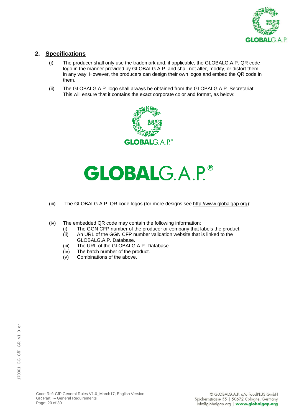

#### **2. Specifications**

- (i) The producer shall only use the trademark and, if applicable, the GLOBALG.A.P. QR code logo in the manner provided by GLOBALG.A.P. and shall not alter, modify, or distort them in any way. However, the producers can design their own logos and embed the QR code in them.
- (ii) The GLOBALG.A.P. logo shall always be obtained from the GLOBALG.A.P. Secretariat. This will ensure that it contains the exact corporate color and format, as below:



# **GLOBALG.A.P.®**

- (iii) The GLOBALG.A.P. QR code logos (for more designs see [http://www.globalgap.org\)](http://www.globalgap.org/):
- (iv) The embedded QR code may contain the following information:
	- (i) The GGN CFP number of the producer or company that labels the product.<br>(ii) An URL of the GGN CFP number validation website that is linked to the
	- An URL of the GGN CFP number validation website that is linked to the GLOBALG.A.P. Database.
	- (iii) The URL of the GLOBALG.A.P. Database.
	- (iv) The batch number of the product.
	- (v) Combinations of the above.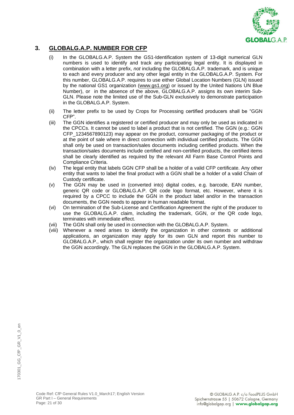

#### **3. GLOBALG.A.P. NUMBER FOR CFP**

- (i) In the GLOBALG.A.P. System the GS1-Identification system of 13-digit numerical GLN numbers is used to identify and track any participating legal entity. It is displayed in combination with a letter prefix, *not* including the GLOBALG.A.P. trademark, and is unique to each and every producer and any other legal entity in the GLOBALG.A.P. System. For this number, GLOBALG.A.P. requires to use either Global Location Numbers (GLN) issued by the national GS1 organization [\(www.gs1.org\)](http://www.gs1.org/) or issued by the United Nations UN Blue Number), or in the absence of the above, GLOBALG.A.P. assigns its own interim Sub-GLN. Please note the limited use of the Sub-GLN exclusively to demonstrate participation in the GLOBALG.A.P. System.
- (ii) The letter prefix to be used by Crops for Processing certified producers shall be "GGN CFP".
- (iii) The GGN identifies a registered or certified producer and may only be used as indicated in the CPCCs. It cannot be used to label a product that is not certified. The GGN (e.g.: GGN CFP\_1234567890123) may appear on the product, consumer packaging of the product or at the point of sale where in direct connection with individual certified products. The GGN shall only be used on transaction/sales documents including certified products. When the transaction/sales documents include certified and non-certified products, the certified items shall be clearly identified as required by the relevant All Farm Base Control Points and Compliance Criteria.
- (iv) The legal entity that labels GGN CFP shall be a holder of a valid CFP certificate. Any other entity that wants to label the final product with a GGN shall be a holder of a valid Chain of Custody certificate.
- (v) The GGN may be used in (converted into) digital codes, e.g. barcode, EAN number, generic QR code or GLOBALG.A.P. QR code logo format, etc. However, where it is required by a CPCC to include the GGN in the product label and/or in the transaction documents, the GGN needs to appear in human readable format.
- (vi) On termination of the Sub-License and Certification Agreement the right of the producer to use the GLOBALG.A.P. claim, including the trademark, GGN, or the QR code logo, terminates with immediate effect.
- (vii) The GGN shall only be used in connection with the GLOBALG.A.P. System.
- (viii) Whenever a need arises to identify the organization in other contexts or additional applications, an organization may apply for its own GLN and report this number to GLOBALG.A.P., which shall register the organization under its own number and withdraw the GGN accordingly. The GLN replaces the GGN in the GLOBALG.A.P. System.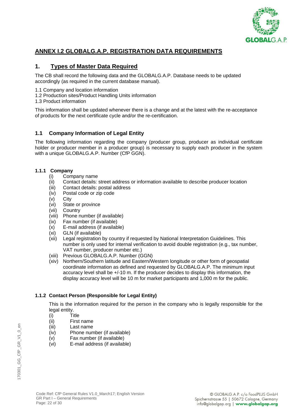

#### **ANNEX I.2 GLOBALG.A.P. REGISTRATION DATA REQUIREMENTS**

#### **1. Types of Master Data Required**

The CB shall record the following data and the GLOBALG.A.P. Database needs to be updated accordingly (as required in the current database manual).

- 1.1 Company and location information
- 1.2 Production sites/Product Handling Units information
- 1.3 Product information

This information shall be updated whenever there is a change and at the latest with the re-acceptance of products for the next certificate cycle and/or the re-certification.

#### **1.1 Company Information of Legal Entity**

The following information regarding the company (producer group, producer as individual certificate holder or producer member in a producer group) is necessary to supply each producer in the system with a unique GLOBALG.A.P. Number (CfP GGN).

#### **1.1.1 Company**

- (i) Company name
- (ii) Contact details: street address or information available to describe producer location
- (iii) Contact details: postal address
- (iv) Postal code or zip code
- (v) City
- (vi) State or province
- (vii) Country
- (viii) Phone number (if available)
- (ix) Fax number (if available)
- (x) E-mail address (if available)
- (xi) GLN (if available)
- (xii) Legal registration by country if requested by National Interpretation Guidelines. This number is only used for internal verification to avoid double registration (e.g., tax number, VAT number, producer number etc.)
- (xiii) Previous GLOBALG.A.P. Number (GGN)
- (xiv) Northern/Southern latitude and Eastern/Western longitude or other form of geospatial coordinate information as defined and requested by GLOBALG.A.P. The minimum input accuracy level shall be +/-10 m. If the producer decides to display this information, the display accuracy level will be 10 m for market participants and 1,000 m for the public.

#### **1.1.2 Contact Person (Responsible for Legal Entity)**

This is the information required for the person in the company who is legally responsible for the legal entity.

(i) Title

- (ii) First name
- (iii) Last name
- (iv) Phone number (if available)
- (v) Fax number (if available)
- (vi) E-mail address (if available)

en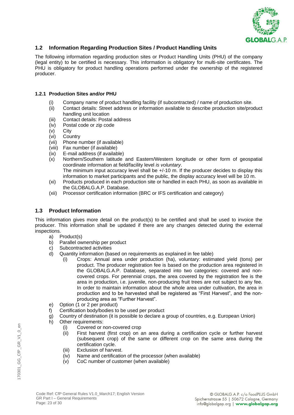

#### **1.2 Information Regarding Production Sites / Product Handling Units**

The following information regarding production sites or Product Handling Units (PHU) of the company (legal entity) to be certified is necessary. This information is obligatory for multi-site certificates. The PHU is obligatory for product handling operations performed under the ownership of the registered producer.

#### **1.2.1 Production Sites and/or PHU**

- (i) Company name of product handling facility (if subcontracted) / name of production site.
- (ii) Contact details: Street address or information available to describe production site/product handling unit location
- (iii) Contact details: Postal address
- (iv) Postal code or zip code
- (v) City
- (vi) Country
- (vii) Phone number (if available)
- (viii) Fax number (if available)
- (ix) E-mail address (if available)
- (x) Northern/Southern latitude and Eastern/Western longitude or other form of geospatial coordinate information at field/facility level *is voluntary*. The minimum input accuracy level shall be +/-10 m. If the producer decides to display this
- information to market participants and the public, the display accuracy level will be 10 m. (xi) Products produced in each production site or handled in each PHU, as soon as available in the GLOBALG.A.P. Database.
- (xii) Processor certification information (BRC or IFS certification and category)

#### **1.3 Product Information**

This information gives more detail on the product(s) to be certified and shall be used to invoice the producer. This information shall be updated if there are any changes detected during the external inspections.

- a) Product(s)
- b) Parallel ownership per product
- c) Subcontracted activities
- d) Quantity information (based on requirements as explained in fee table)
	- (i) Crops: Annual area under production (ha), voluntary: estimated yield (tons) per product. The producer registration fee is based on the production area registered in the GLOBALG.A.P. Database, separated into two categories: covered and noncovered crops. For perennial crops, the area covered by the registration fee is the area in production, i.e. juvenile, non-producing fruit trees are not subject to any fee. In order to maintain information about the whole area under cultivation, the area in production and to be harvested shall be registered as "First Harvest", and the nonproducing area as "Further Harvest".
- e) Option (1 or 2 per product)
- f) Certification body/bodies to be used per product
- g) Country of destination (it is possible to declare a group of countries, e.g. European Union)
- h) Other requirements:
	- (i) Covered or non-covered crop
	- (ii) First harvest (first crop) on an area during a certification cycle or further harvest (subsequent crop) of the same or different crop on the same area during the certification cycle.
	- (iii) Exclusion of harvest.
	- (iv) Name and certification of the processor (when available)
	- (v) CoC number of customer (when available)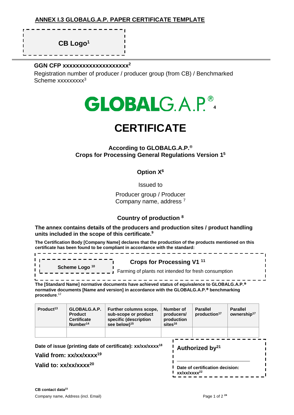ı

ı

**CB Logo<sup>1</sup>**

<u>\_\_\_\_\_\_\_\_\_\_\_\_\_\_</u>

f,

#### **GGN CFP xxxxxxxxxxxxxxxxxxxx<sup>2</sup>**

Registration number of producer / producer group (from CB) / Benchmarked Scheme xxxxxxxx<sup>3</sup>



# **CERTIFICATE**

**According to GLOBALG.A.P.® Crops for Processing General Regulations Version 1 5**

**Option X<sup>6</sup>**

Issued to

Producer group / Producer Company name, address <sup>7</sup>

#### **Country of production <sup>8</sup>**

**The annex contains details of the producers and production sites / product handling units included in the scope of this certificate.<sup>9</sup>**

**The Certification Body [Company Name] declares that the production of the products mentioned on this certificate has been found to be compliant in accordance with the standard:** 

| Scheme Logo <sup>10</sup> | Crops for Processing V1 <sup>11</sup><br>Farming of plants not intended for fresh consumption |
|---------------------------|-----------------------------------------------------------------------------------------------|

- - - - - - - - - - - - - - - - - -**The [Standard Name] normative documents have achieved status of equivalence to GLOBALG.A.P. normative documents [Name and version] in accordance with the GLOBALG.A.P. benchmarking procedure**. 12

| Product <sup>13</sup>                                                                                          | GLOBALG.A.P.<br><b>Product</b><br><b>Certificate</b><br>Number <sup>14</sup> | <b>Further columns scope,</b><br>sub-scope or product<br>specific (description<br>see below) <sup>15</sup> | sites <sup>16</sup> | Number of<br>producers/<br>production | <b>Parallel</b><br>production <sup>17</sup> | <b>Parallel</b><br>ownership <sup>17</sup> |  |
|----------------------------------------------------------------------------------------------------------------|------------------------------------------------------------------------------|------------------------------------------------------------------------------------------------------------|---------------------|---------------------------------------|---------------------------------------------|--------------------------------------------|--|
| Date of issue (printing date of certificate): xx/xx/xxxx <sup>18</sup><br>Valid from: xx/xx/xxxx <sup>19</sup> |                                                                              |                                                                                                            |                     |                                       | Authorized by <sup>21</sup>                 |                                            |  |
| Valid to: $xx/xx/xxx^{20}$                                                                                     |                                                                              |                                                                                                            |                     | xx/xx/xxxx <sup>22</sup>              | Date of certification decision:             |                                            |  |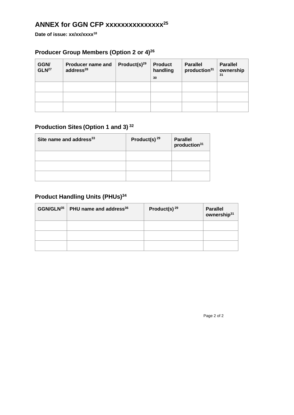# **ANNEX for GGN CFP xxxxxxxxxxxxxxx<sup>25</sup>**

**Date of issue: xx/xx/xxxx<sup>18</sup>**

# **Producer Group Members (Option 2 or 4)<sup>26</sup>**

| GGN/<br>GLN <sup>27</sup> | <b>Producer name and</b><br>address <sup>28</sup> | Product(s) $^{29}$ | <b>Product</b><br>handling<br>30 | <b>Parallel</b><br>production <sup>31</sup> | <b>Parallel</b><br>ownership<br>31 |
|---------------------------|---------------------------------------------------|--------------------|----------------------------------|---------------------------------------------|------------------------------------|
|                           |                                                   |                    |                                  |                                             |                                    |
|                           |                                                   |                    |                                  |                                             |                                    |
|                           |                                                   |                    |                                  |                                             |                                    |

# **Production Sites (Option 1 and 3) <sup>32</sup>**

| Site name and address <sup>33</sup> | Product(s) $^{29}$ | <b>Parallel</b><br>production <sup>31</sup> |
|-------------------------------------|--------------------|---------------------------------------------|
|                                     |                    |                                             |
|                                     |                    |                                             |
|                                     |                    |                                             |

# **Product Handling Units (PHUs)<sup>34</sup>**

| $GGN/GLN35$ PHU name and address <sup>36</sup> | Product(s) $29$ | <b>Parallel</b><br>ownership <sup>31</sup> |
|------------------------------------------------|-----------------|--------------------------------------------|
|                                                |                 |                                            |
|                                                |                 |                                            |
|                                                |                 |                                            |

Page 2 of 2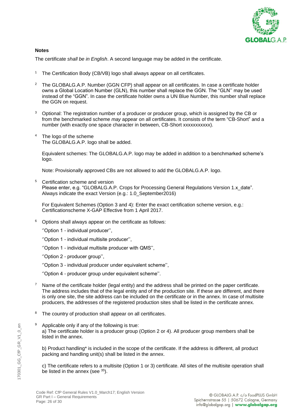

#### **Notes**

The certificate *shall be in English*. A second language may be added in the certificate.

- <sup>1</sup> The Certification Body (CB/VB) logo shall always appear on all certificates.
- <sup>2</sup> The GLOBALG.A.P. Number (GGN CFP) shall appear on all certificates. In case a certificate holder owns a Global Location Number (GLN), this number shall replace the GGN. The "GLN'' may be used instead of the "GGN". In case the certificate holder owns a UN Blue Number, this number shall replace the GGN on request.
- <sup>3</sup> Optional: The registration number of a producer or producer group, which is assigned by the CB or from the benchmarked scheme *may* appear on all certificates. It consists of the term "CB-Short" and a number (with exactly one space character in between, CB-Short xxxxxxxxxxx).
- The logo of the scheme The GLOBALG.A.P. logo shall be added.

Equivalent schemes: The GLOBALG.A.P. logo may be added in addition to a benchmarked scheme's logo.

Note: Provisionally approved CBs are not allowed to add the GLOBALG.A.P. logo.

<sup>5</sup> Certification scheme and version Please enter, e.g. "GLOBALG.A.P. Crops for Processing General Regulations Version 1.x\_date". Always indicate the exact Version (e.g.: 1.0 September2016)

For Equivalent Schemes (Option 3 and 4): Enter the exact certification scheme version, e.g.: Certificationscheme X-GAP Effective from 1 April 2017.

- <sup>6</sup> Options shall always appear on the certificate as follows:
	- ''Option 1 individual producer'',
	- ''Option 1 individual multisite producer'',
	- ''Option 1 individual multisite producer with QMS'',
	- ''Option 2 producer group'',
	- ''Option 3 individual producer under equivalent scheme'',
	- ''Option 4 producer group under equivalent scheme''.
- Name of the certificate holder (legal entity) and the address shall be printed on the paper certificate. The address includes that of the legal entity and of the production site. If these are different, and there is only one site, the site address can be included on the certificate or in the annex. In case of multisite producers, the addresses of the registered production sites shall be listed in the certificate annex.
- <sup>8</sup> The country of production shall appear on all certificates.
- Applicable only if any of the following is true: a) The certificate holder is a producer group (Option 2 or 4). All producer group members shall be listed in the annex.

b) Product handling\* is included in the scope of the certificate. If the address is different, all product packing and handling unit(s) shall be listed in the annex.

c) The certificate refers to a multisite (Option 1 or 3) certificate. All sites of the multisite operation shall be listed in the annex (see <sup>35</sup>).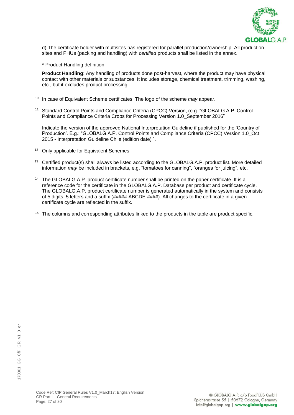

d) The certificate holder with multisites has registered for parallel production/ownership. All production sites and PHUs (packing and handling) with *certified* products shall be listed in the annex.

\* Product Handling definition:

**Product Handling**: Any handling of products done post-harvest, where the product may have physical contact with other materials or substances. It includes storage, chemical treatment, trimming, washing, etc., but it excludes product processing.

- <sup>10</sup> In case of Equivalent Scheme certificates: The logo of the scheme *may* appear.
- <sup>11</sup> Standard Control Points and Compliance Criteria (CPCC) Version, (e.g. "GLOBALG.A.P. Control Points and Compliance Criteria Crops for Processing Version 1.0\_September 2016"

Indicate the version of the approved National Interpretation Guideline if published for the 'Country of Production'. E.g.: "GLOBALG.A.P. Control Points and Compliance Criteria (CPCC) Version 1.0\_Oct 2015 - Interpretation Guideline Chile (edition date) ".

- <sup>12</sup> Only applicable for Equivalent Schemes.
- <sup>13</sup> Certified product(s) shall always be listed according to the GLOBALG.A.P. product list. More detailed information *may* be included in brackets, e.g. "tomatoes for canning", "oranges for juicing", etc.
- <sup>14</sup> The GLOBALG.A.P. product certificate number shall be printed on the paper certificate. It is a reference code for the certificate in the GLOBALG.A.P. Database per product and certificate cycle. The GLOBALG.A.P. product certificate number is generated automatically in the system and consists of 5 digits, 5 letters and a suffix (#####-ABCDE-####). All changes to the certificate in a given certificate cycle are reflected in the suffix.
- <sup>15</sup> The columns and corresponding attributes linked to the products in the table are product specific.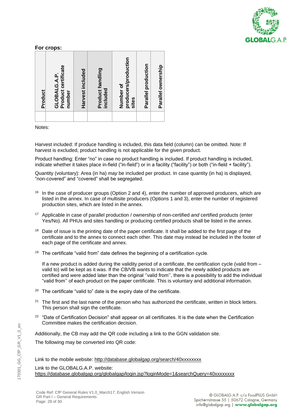

#### **For crops:**

Notes:

Harvest included: If produce handling is included, this data field (column) can be omitted. Note: If harvest is excluded, product handling is not applicable for the given product.

Product handling: Enter "no" in case no product handling is included. If product handling is included, indicate whether it takes place in-field ("in-field") or in a facility ("facility") or both ("in-field + facility").

Quantity (voluntary): Area (in ha) *may* be included per product. In case quantity (in ha) is displayed, "non-covered" and "covered" shall be segregated.

- $16$  In the case of producer groups (Option 2 and 4), enter the number of approved producers, which are listed in the annex. In case of multisite producers (Options 1 and 3), enter the number of registered production sites, which are listed in the annex.
- <sup>17</sup> Applicable in case of parallel production / ownership of non-certified *and* certified products (enter Yes/No). All PHUs and sites handling or producing certified products shall be listed in the annex.
- <sup>18</sup> Date of issue is the printing date of the paper certificate. It shall be added to the first page of the certificate and to the annex to connect each other. This date may instead be included in the footer of each page of the certificate and annex.
- <sup>19</sup> The certificate "valid from" date defines the beginning of a certification cycle.

If a new product is added during the validity period of a certificate, the certification cycle (valid from – valid to) will be kept as it was. If the CB/VB wants to indicate that the newly added products are certified and were added later than the original ''valid from'', there is a possibility to add the individual "valid from'' of each product on the paper certificate. This is voluntary and additional information.

- <sup>20</sup> The certificate "valid to" date is the expiry date of the certificate.
- $21$  The first and the last name of the person who has authorized the certificate, written in block letters. This person shall sign the certificate.
- <sup>22</sup> "Date of Certification Decision" shall appear on all certificates. It is the date when the Certification Committee makes the certification decision.

Additionally, the CB may add the QR code including a link to the GGN validation site.

The following may be converted into QR code:

Link to the mobile website:<http://database.globalgap.org/search/40xxxxxxxx>

Link to the GLOBALG.A.P. website: [https://database.globalgap.org/globalgap/login.jsp?loginMode=1&searchQuery=40xxxxxxxx](https://database.globalgap.org/globalgap/login.jsp?loginMode=1&searchQuery=4049929285743)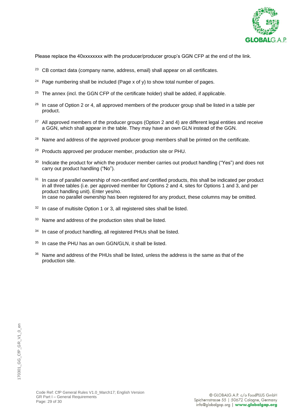

Please replace the 40xxxxxxxx with the producer/producer group's GGN CFP at the end of the link.

- $23$  CB contact data (company name, address, email) shall appear on all certificates.
- <sup>24</sup> Page numbering shall be included (Page x of y) to show total number of pages.
- $25$  The annex (incl. the GGN CFP of the certificate holder) shall be added, if applicable.
- $26$  In case of Option 2 or 4, all approved members of the producer group shall be listed in a table per product.
- $27$  All approved members of the producer groups (Option 2 and 4) are different legal entities and receive a GGN, which shall appear in the table. They may have an own GLN instead of the GGN.
- <sup>28</sup> Name and address of the approved producer group members shall be printed on the certificate.
- <sup>29</sup> Products approved per producer member, production site or PHU.
- <sup>30</sup> Indicate the product for which the producer member carries out product handling ("Yes") and does not carry out product handling ("No").
- <sup>31</sup> In case of parallel ownership of non-certified *and* certified products, this shall be indicated per product in all three tables (i.e. per approved member for Options 2 and 4, sites for Options 1 and 3, and per product handling unit). Enter yes/no. In case no parallel ownership has been registered for any product, these columns may be omitted.
- $32$  In case of multisite Option 1 or 3, all registered sites shall be listed.
- <sup>33</sup> Name and address of the production sites shall be listed.
- <sup>34</sup> In case of product handling, all registered PHUs shall be listed.
- <sup>35</sup> In case the PHU has an own GGN/GLN, it shall be listed.
- <sup>36</sup> Name and address of the PHUs shall be listed, unless the address is the same as that of the production site.